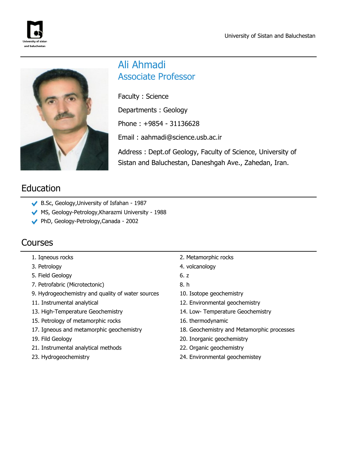



# Ali Ahmadi Associate Professor

Faculty : Science Departments : Geology Phone : +9854 - 31136628 Email : aahmadi@science.usb.ac.ir Address : Dept.of Geology, Faculty of Science, University of

Sistan and Baluchestan, Daneshgah Ave., Zahedan, Iran.

# Education

- B.Sc, Geology,University of Isfahan 1987
- MS, Geology-Petrology, Kharazmi University 1988
- PhD, Geology-Petrology,Canada 2002

## Courses

- 
- 3. Petrology 4. volcanology
- 5. Field Geology 6. z
- 7. Petrofabric (Microtectonic) 8. h
- 9. Hydrogeochemistry and quality of water sources 10. Isotope geochemistry
- 
- 
- 15. Petrology of metamorphic rocks 16. thermodynamic
- 
- 
- 21. Instrumental analytical methods 22. Organic geochemistry
- 
- 1. Iqneous rocks 2. Metamorphic rocks
	-
	-
	-
	-
- 11. Instrumental analytical intervals and the set of the 12. Environmental geochemistry
- 13. High-Temperature Geochemistry 14. Low- Temperature Geochemistry
	-
- 17. Igneous and metamorphic geochemistry 18. Geochemistry and Metamorphic processes
- 19. Fild Geology 20. Inorganic geochemistry
	-
- 23. Hydrogeochemistry 24. Environmental geochemistey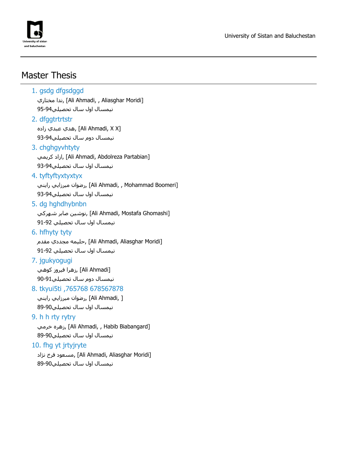

## Master Thesis

## 1. gsdg dfgsdggd ندا مختاري, [Ali Ahmadi, , Aliasghar Moridi] نيمسال اول سال تحصيلي95-94 2. dfggtrtrtstr زاده عبدي هدي,] Ali Ahmadi, X X] نيمسال دوم سال تحصيلي93-94 3. chghayyhtyty ازاد كريمي, [Ali Ahmadi, Abdolreza Partabian] نيمسال اول سال تحصيلي93-94 4. tyftyftyxtyxtyx رضوان ميرزايي رايني, [Ali Ahmadi, , Mohammad Boomeri] نيمسال اول سال تحصيلي93-94 5. dg hghdhybnbn نوشين صابر شـهركي, [Ali Ahmadi, Mostafa Ghomashi] نيمسال اول سال تحصيلي 91-92 6. hfhyty tyty مطيمه مجددي مقدم [Ali Ahmadi, Aliasghar Moridi] نيمسال اول سال تحصيلي 91-92 7. jgukyogugi [Ahmadi Ali [,زهرا فيروز كوهي نيمسال دوم سال تحصيلي90-91 8. tkyui5ti ,765768 678567878 [ ,Ahmadi Ali [,رضوان ميرزايي رايني نيمسال اول سال تحصيلي89-90 9. h h rty rytry زهره خرمي, [Ali Ahmadi, , Habib Biabangard] نيمسال اول سال تحصيلي89-90 10. fhg yt jrtyjryte مسعود فرخ نژاد, [Ali Ahmadi, Aliasghar Moridi] نيمسال اول سال تحصيلي89-90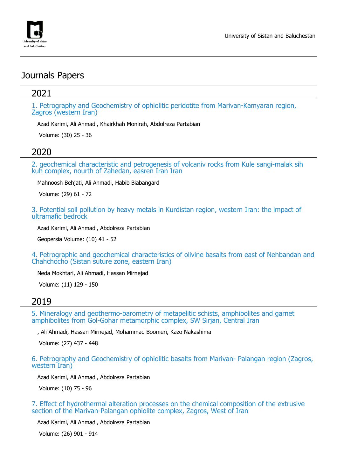

## Journals Papers

## 2021

1. Petrography and Geochemistry of ophiolitic peridotite from Marivan-Kamyaran region, Zagros (western Iran)

Azad Karimi, Ali Ahmadi, Khairkhah Monireh, Abdolreza Partabian

Volume: (30) 25 - 36

### 2020

2. geochemical characteristic and petrogenesis of volcaniv rocks from Kule sangi-malak sih kuh complex, nourth of Zahedan, easren Iran Iran

Mahnoosh Behjati, Ali Ahmadi, Habib Biabangard

Volume: (29) 61 - 72

3. Potential soil pollution by heavy metals in Kurdistan region, western Iran: the impact of ultramafic bedrock

Azad Karimi, Ali Ahmadi, Abdolreza Partabian

Geopersia Volume: (10) 41 - 52

4. Petrographic and geochemical characteristics of olivine basalts from east of Nehbandan and Chahchocho (Sistan suture zone, eastern Iran)

Neda Mokhtari, Ali Ahmadi, Hassan Mirnejad

Volume: (11) 129 - 150

#### 2019

5. Mineralogy and geothermo-barometry of metapelitic schists, amphibolites and garnet amphibolites from Gol-Gohar metamorphic complex, SW Sirjan, Central Iran

, Ali Ahmadi, Hassan Mirnejad, Mohammad Boomeri, Kazo Nakashima

Volume: (27) 437 - 448

6. Petrography and Geochemistry of ophiolitic basalts from Marivan- Palangan region (Zagros, western Iran)

Azad Karimi, Ali Ahmadi, Abdolreza Partabian

Volume: (10) 75 - 96

7. Effect of hydrothermal alteration processes on the chemical composition of the extrusive section of the Marivan-Palangan ophiolite complex, Zagros, West of Iran

Azad Karimi, Ali Ahmadi, Abdolreza Partabian

Volume: (26) 901 - 914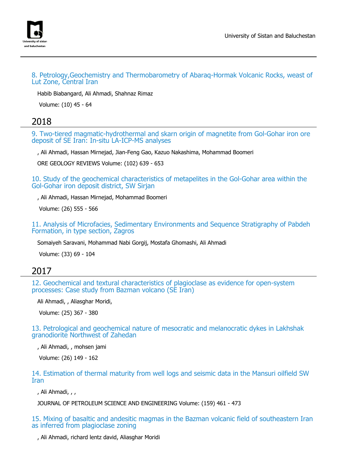

8. Petrology,Geochemistry and Thermobarometry of Abaraq-Hormak Volcanic Rocks, weast of Lut Zone, Central Iran

Habib Biabangard, Ali Ahmadi, Shahnaz Rimaz

Volume: (10) 45 - 64

#### 2018

9. Two-tiered magmatic-hydrothermal and skarn origin of magnetite from Gol-Gohar iron ore deposit of SE Iran: In-situ LA-ICP-MS analyses

, Ali Ahmadi, Hassan Mirnejad, Jian-Feng Gao, Kazuo Nakashima, Mohammad Boomeri

ORE GEOLOGY REVIEWS Volume: (102) 639 - 653

10. Study of the geochemical characteristics of metapelites in the Gol-Gohar area within the Gol-Gohar iron deposit district, SW Sirjan

, Ali Ahmadi, Hassan Mirnejad, Mohammad Boomeri

Volume: (26) 555 - 566

11. Analysis of Microfacies, Sedimentary Environments and Sequence Stratigraphy of Pabdeh Formation, in type section, Zagros

Somaiyeh Saravani, Mohammad Nabi Gorgij, Mostafa Ghomashi, Ali Ahmadi

Volume: (33) 69 - 104

#### 2017

12. Geochemical and textural characteristics of plagioclase as evidence for open-system processes: Case study from Bazman volcano (SE Iran)

Ali Ahmadi, , Aliasghar Moridi,

Volume: (25) 367 - 380

13. Petrological and geochemical nature of mesocratic and melanocratic dykes in Lakhshak granodiorite Northwest of Zahedan

, Ali Ahmadi, , mohsen jami

Volume: (26) 149 - 162

14. Estimation of thermal maturity from well logs and seismic data in the Mansuri oilfield SW Iran

, Ali Ahmadi, , ,

JOURNAL OF PETROLEUM SCIENCE AND ENGINEERING Volume: (159) 461 - 473

15. Mixing of basaltic and andesitic magmas in the Bazman volcanic field of southeastern Iran as inferred from plagioclase zoning

, Ali Ahmadi, richard lentz david, Aliasghar Moridi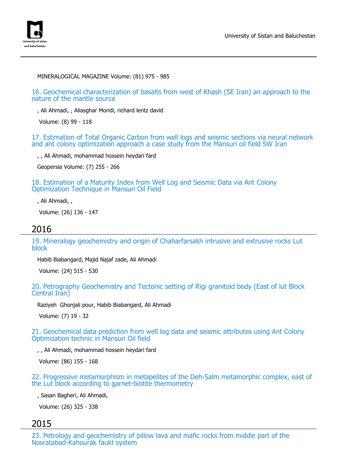

MINERALOGICAL MAGAZINE Volume: (81) 975 - 985

16. Geochemical characterization of basalts from west of Khash (SE Iran) an approach to the nature of the mantle source

, Ali Ahmadi, , Aliasghar Moridi, richard lentz david

Volume: (8) 99 - 118

17. Estimation of Total Organic Carbon from well logs and seismic sections via neural network and ant colony optimization approach a case study from the Mansuri oil field SW Iran

, , Ali Ahmadi, mohammad hossein heydari fard

Geopersia Volume: (7) 255 - 266

18. Estimation of a Maturity Index from Well Log and Seismic Data via Ant Colony Optimization Technique in Mansuri Oil Field

, Ali Ahmadi, ,

Volume: (26) 136 - 147

#### 2016

19. Mineralogy geochemistry and origin of Chaharfarsakh intrusive and extrusive rocks Lut block

Habib Biabangard, Majid Najaf zade, Ali Ahmadi

Volume: (24) 515 - 530

20. Petrography Geochemistry and Tectonic setting of Rigi granitoid body (East of lut Block Central Iran)

Raziyeh Ghonjali pour, Habib Biabangard, Ali Ahmadi

Volume: (7) 19 - 32

21. Geochemical data prediction from well log data and seismic attributes using Ant Colony Optimization technic in Mansuri Oil field

, , Ali Ahmadi, mohammad hossein heydari fard

Volume: (86) 155 - 168

22. Progressive metamorphism in metapelites of the Deh-Salm metamorphic complex, east of the Lut block according to garnet-biotite thermometry

, Sasan Bagheri, Ali Ahmadi,

Volume: (26) 325 - 338

#### 2015

23. Petrology and geochemistry of pillow lava and mafic rocks from middle part of the Nosratabad-Kahourak faukt system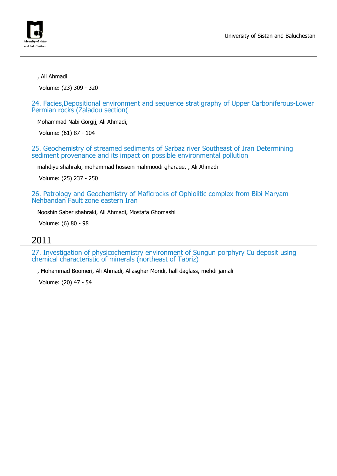

, Ali Ahmadi

Volume: (23) 309 - 320

24. Facies,Depositional environment and sequence stratigraphy of Upper Carboniferous-Lower Permian rocks (Zaladou section(

Mohammad Nabi Gorgij, Ali Ahmadi,

Volume: (61) 87 - 104

25. Geochemistry of streamed sediments of Sarbaz river Southeast of Iran Determining sediment provenance and its impact on possible environmental pollution

mahdiye shahraki, mohammad hossein mahmoodi gharaee, , Ali Ahmadi

Volume: (25) 237 - 250

26. Patrology and Geochemistry of Maficrocks of Ophiolitic complex from Bibi Maryam Nehbandan Fault zone eastern Iran

Nooshin Saber shahraki, Ali Ahmadi, Mostafa Ghomashi

Volume: (6) 80 - 98

#### 2011

27. Investigation of physicochemistry environment of Sungun porphyry Cu deposit using chemical characteristic of minerals (northeast of Tabriz)

, Mohammad Boomeri, Ali Ahmadi, Aliasghar Moridi, hall daglass, mehdi jamali

Volume: (20) 47 - 54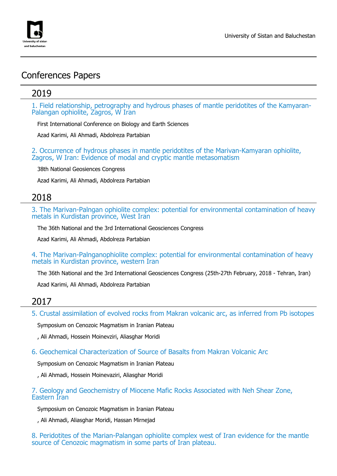

## Conferences Papers

### 2019

1. Field relationship, petrography and hydrous phases of mantle peridotites of the Kamyaran-Palangan ophiolite, Zagros, W Iran

First International Conference on Biology and Earth Sciences

Azad Karimi, Ali Ahmadi, Abdolreza Partabian

2. Occurrence of hydrous phases in mantle peridotites of the Marivan-Kamyaran ophiolite, Zagros, W Iran: Evidence of modal and cryptic mantle metasomatism

38th National Geosiences Congress

Azad Karimi, Ali Ahmadi, Abdolreza Partabian

#### 2018

3. The Marivan-Palngan ophiolite complex: potential for environmental contamination of heavy metals in Kurdistan province, West Iran

The 36th National and the 3rd International Geosciences Congress

Azad Karimi, Ali Ahmadi, Abdolreza Partabian

4. The Marivan-Palnganophiolite complex: potential for environmental contamination of heavy metals in Kurdistan province, western Iran

The 36th National and the 3rd International Geosciences Congress (25th-27th February, 2018 - Tehran, Iran)

Azad Karimi, Ali Ahmadi, Abdolreza Partabian

#### 2017

5. Crustal assimilation of evolved rocks from Makran volcanic arc, as inferred from Pb isotopes

Symposium on Cenozoic Magmatism in Iranian Plateau

, Ali Ahmadi, Hossein Moinevziri, Aliasghar Moridi

6. Geochemical Characterization of Source of Basalts from Makran Volcanic Arc

Symposium on Cenozoic Magmatism in Iranian Plateau

, Ali Ahmadi, Hossein Moinevaziri, Aliasghar Moridi

7. Geology and Geochemistry of Miocene Mafic Rocks Associated with Neh Shear Zone, Eastern Iran

Symposium on Cenozoic Magmatism in Iranian Plateau

, Ali Ahmadi, Aliasghar Moridi, Hassan Mirnejad

8. Peridotites of the Marian-Palangan ophiolite complex west of Iran evidence for the mantle source of Cenozoic magmatism in some parts of Iran plateau.